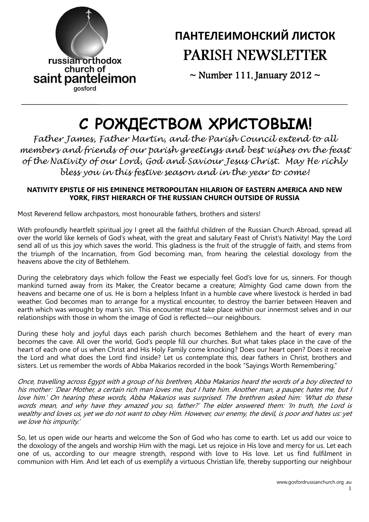

## ПАНТЕЛЕИМОНСКИЙ ЛИСТОК PARISH NEWSLETTER

 $\sim$  Number 111, January 2012  $\sim$ 

# С РОЖДЕСТВОМ ХРИСТОВЫМ!

Father James, Father Martin, and the Parish Council extend to all members and friends of our parish greetings and best wishes on the feast of the Nativity of our Lord, God and Saviour Jesus Christ. May He richly bless you in this festive season and in the year to come!

### NATIVITY EPISTLE OF HIS EMINENCE METROPOLITAN HILARION OF EASTERN AMERICA AND NEW YORK, FIRST HIERARCH OF THE RUSSIAN CHURCH OUTSIDE OF RUSSIA

Most Reverend fellow archpastors, most honourable fathers, brothers and sisters!

With profoundly heartfelt spiritual joy I greet all the faithful children of the Russian Church Abroad, spread all over the world like kernels of God's wheat, with the great and salutary Feast of Christ's Nativity! May the Lord send all of us this joy which saves the world. This gladness is the fruit of the struggle of faith, and stems from the triumph of the Incarnation, from God becoming man, from hearing the celestial doxology from the heavens above the city of Bethlehem.

During the celebratory days which follow the Feast we especially feel God's love for us, sinners. For though mankind turned away from its Maker, the Creator became a creature; Almighty God came down from the heavens and became one of us. He is born a helpless Infant in a humble cave where livestock is herded in bad weather. God becomes man to arrange for a mystical encounter, to destroy the barrier between Heaven and earth which was wrought by man's sin. This encounter must take place within our innermost selves and in our relationships with those in whom the image of God is reflected—our neighbours.

During these holy and joyful days each parish church becomes Bethlehem and the heart of every man becomes the cave. All over the world, God's people fill our churches. But what takes place in the cave of the heart of each one of us when Christ and His Holy Family come knocking? Does our heart open? Does it receive the Lord and what does the Lord find inside? Let us contemplate this, dear fathers in Christ, brothers and sisters. Let us remember the words of Abba Makarios recorded in the book "Sayings Worth Remembering."

Once, travelling across Egypt with a group of his brethren, Abba Makarios heard the words of a boy directed to his mother: 'Dear Mother, a certain rich man loves me, but I hate him. Another man, a pauper, hates me, but I love him.' On hearing these words, Abba Makarios was surprised. The brethren asked him: 'What do these words mean, and why have they amazed you so, father?' The elder answered them: 'In truth, the Lord is wealthy and loves us, yet we do not want to obey Him. However, our enemy, the devil, is poor and hates us: yet we love his impurity.'

So, let us open wide our hearts and welcome the Son of God who has come to earth. Let us add our voice to the doxology of the angels and worship Him with the magi. Let us rejoice in His love and mercy for us. Let each one of us, according to our meagre strength, respond with love to His love. Let us find fulfilment in communion with Him. And let each of us exemplify a virtuous Christian life, thereby supporting our neighbour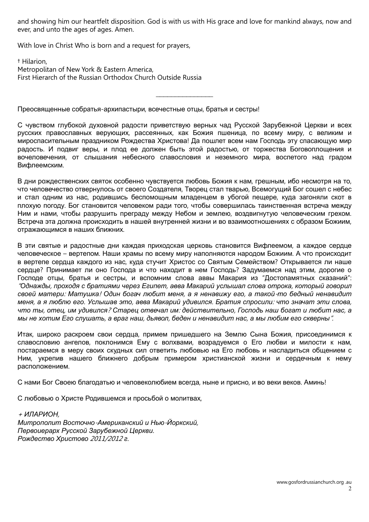and showing him our heartfelt disposition. God is with us with His grace and love for mankind always, now and ever, and unto the ages of ages. Amen.

With love in Christ Who is born and a request for prayers,

† Hilarion, Metropolitan of New York & Eastern America, First Hierarch of the Russian Orthodox Church Outside Russia

Преосвященные собратья-архипастыри, всечестные отцы, братья и сестры!

С чувством глубокой духовной радости приветствую верных чад Русской Зарубежной Церкви и всех русских православных верующих, рассеянных, как Божия пшеница, по всему миру, с великим и мироспасительным праздником Рождества Христова! Да пошлет всем нам Господь эту спасающую мир радость. И подвиг веры, и плод ее должен быть этой радостью, от торжества Боговоплощения и вочеловечения, от слышания небесного славословия и неземного мира, воспетого над градом Вифлеемским.

 $\overline{\phantom{a}}$ 

В дни рождественских святок особенно чувствуется любовь Божия к нам, грешным, ибо несмотря на то, что человечество отвернулось от своего Создателя, Творец стал тварью, Всемогущий Бог сошел с небес и стал одним из нас, родившись беспомощным младенцем в убогой пещере, куда загоняли скот в плохую погоду. Бог становится человеком ради того, чтобы совершилась таинственная встреча между Ним и нами, чтобы разрушить преграду между Небом и землею, воздвигнутую человеческим грехом. Встреча эта должна происходить в нашей внутренней жизни и во взаимоотношениях с образом Божиим, отражающимся в наших ближних.

В эти святые и радостные дни каждая приходская церковь становится Вифлеемом, а каждое сердце человеческое – вертепом. Наши храмы по всему миру наполняются народом Божиим. А что происходит в вертепе сердца каждого из нас, куда стучит Христос со Святым Семейством? Открывается ли наше сердце? Принимает ли оно Господа и что находит в нем Господь? Задумаемся над этим, дорогие о Господе отцы, братья и сестры, и вспомним слова аввы Макария из "Достопамятных сказаний": "Однажды, проходя с братиями через Египет, авва Макарий услышал слова отрока, который говорил своей матери: Матушка! Один богач любит меня, а я ненавижу его, а такой-то бедный ненавидит меня, а я люблю его. Услышав это, авва Макарий удивился. Братия спросили: что значат эти слова, что ты, отец, им удивился? Старец отвечал им: действительно, Господь наш богат и любит нас, а мы не хотим Его слушать, а враг наш, дьявол, беден и ненавидит нас, а мы любим его скверны".

Итак, широко раскроем свои сердца, примем пришедшего на Землю Сына Божия, присоединимся к славословию ангелов, поклонимся Ему с волхвами, возрадуемся о Его любви и милости к нам, постараемся в меру своих скудных сил ответить любовью на Его любовь и насладиться общением с Ним, укрепив нашего ближнего добрым примером христианской жизни и сердечным к нему расположением.

С нами Бог Своею благодатью и человеколюбием всегда, ныне и присно, и во веки веков. Аминь!

С любовью о Христе Родившемся и просьбой о молитвах,

<sup>+</sup>ИЛАРИОН, Митрополит Восточно-Американский и Нью-Йоркский, Первоиерарх Русской Зарубежной Церкви. Рождество Христово 2011/2012 г.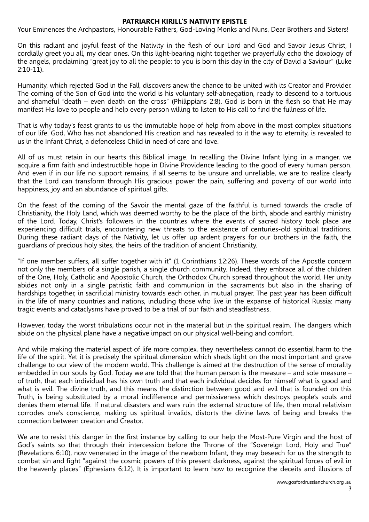#### PATRIARCH KIRILL'S NATIVITY EPISTLE

Your Eminences the Archpastors, Honourable Fathers, God-Loving Monks and Nuns, Dear Brothers and Sisters!

On this radiant and joyful feast of the Nativity in the flesh of our Lord and God and Savoir Jesus Christ, I cordially greet you all, my dear ones. On this light-bearing night together we prayerfully echo the doxology of the angels, proclaiming "great joy to all the people: to you is born this day in the city of David a Saviour" (Luke 2:10-11).

Humanity, which rejected God in the Fall, discovers anew the chance to be united with its Creator and Provider. The coming of the Son of God into the world is his voluntary self-abnegation, ready to descend to a tortuous and shameful "death – even death on the cross" (Philippians 2:8). God is born in the flesh so that He may manifest His love to people and help every person willing to listen to His call to find the fullness of life.

That is why today's feast grants to us the immutable hope of help from above in the most complex situations of our life. God, Who has not abandoned His creation and has revealed to it the way to eternity, is revealed to us in the Infant Christ, a defenceless Child in need of care and love.

All of us must retain in our hearts this Biblical image. In recalling the Divine Infant lying in a manger, we acquire a firm faith and indestructible hope in Divine Providence leading to the good of every human person. And even if in our life no support remains, if all seems to be unsure and unreliable, we are to realize clearly that the Lord can transform through His gracious power the pain, suffering and poverty of our world into happiness, joy and an abundance of spiritual gifts.

On the feast of the coming of the Savoir the mental gaze of the faithful is turned towards the cradle of Christianity, the Holy Land, which was deemed worthy to be the place of the birth, abode and earthly ministry of the Lord. Today, Christ's followers in the countries where the events of sacred history took place are experiencing difficult trials, encountering new threats to the existence of centuries-old spiritual traditions. During these radiant days of the Nativity, let us offer up ardent prayers for our brothers in the faith, the guardians of precious holy sites, the heirs of the tradition of ancient Christianity.

"If one member suffers, all suffer together with it" (1 Corinthians 12:26). These words of the Apostle concern not only the members of a single parish, a single church community. Indeed, they embrace all of the children of the One, Holy, Catholic and Apostolic Church, the Orthodox Church spread throughout the world. Her unity abides not only in a single patristic faith and communion in the sacraments but also in the sharing of hardships together, in sacrificial ministry towards each other, in mutual prayer. The past year has been difficult in the life of many countries and nations, including those who live in the expanse of historical Russia: many tragic events and cataclysms have proved to be a trial of our faith and steadfastness.

However, today the worst tribulations occur not in the material but in the spiritual realm. The dangers which abide on the physical plane have a negative impact on our physical well-being and comfort.

And while making the material aspect of life more complex, they nevertheless cannot do essential harm to the life of the spirit. Yet it is precisely the spiritual dimension which sheds light on the most important and grave challenge to our view of the modern world. This challenge is aimed at the destruction of the sense of morality embedded in our souls by God. Today we are told that the human person is the measure – and sole measure – of truth, that each individual has his own truth and that each individual decides for himself what is good and what is evil. The divine truth, and this means the distinction between good and evil that is founded on this Truth, is being substituted by a moral indifference and permissiveness which destroys people's souls and denies them eternal life. If natural disasters and wars ruin the external structure of life, then moral relativism corrodes one's conscience, making us spiritual invalids, distorts the divine laws of being and breaks the connection between creation and Creator.

We are to resist this danger in the first instance by calling to our help the Most-Pure Virgin and the host of God's saints so that through their intercession before the Throne of the "Sovereign Lord, Holy and True" (Revelations 6:10), now venerated in the image of the newborn Infant, they may beseech for us the strength to combat sin and fight "against the cosmic powers of this present darkness, against the spiritual forces of evil in the heavenly places" (Ephesians 6:12). It is important to learn how to recognize the deceits and illusions of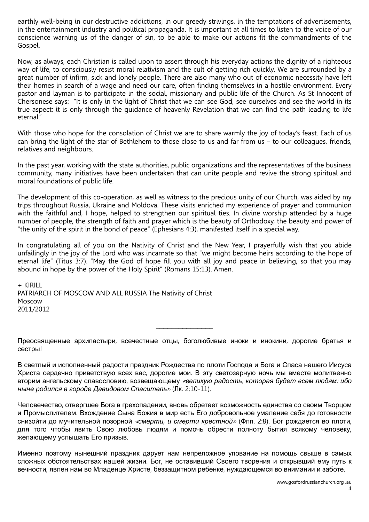earthly well-being in our destructive addictions, in our greedy strivings, in the temptations of advertisements, in the entertainment industry and political propaganda. It is important at all times to listen to the voice of our conscience warning us of the danger of sin, to be able to make our actions fit the commandments of the Gospel.

Now, as always, each Christian is called upon to assert through his everyday actions the dignity of a righteous way of life, to consciously resist moral relativism and the cult of getting rich quickly. We are surrounded by a great number of infirm, sick and lonely people. There are also many who out of economic necessity have left their homes in search of a wage and need our care, often finding themselves in a hostile environment. Every pastor and layman is to participate in the social, missionary and public life of the Church. As St Innocent of Chersonese says: "It is only in the light of Christ that we can see God, see ourselves and see the world in its true aspect; it is only through the guidance of heavenly Revelation that we can find the path leading to life eternal."

With those who hope for the consolation of Christ we are to share warmly the joy of today's feast. Each of us can bring the light of the star of Bethlehem to those close to us and far from us – to our colleagues, friends, relatives and neighbours.

In the past year, working with the state authorities, public organizations and the representatives of the business community, many initiatives have been undertaken that can unite people and revive the strong spiritual and moral foundations of public life.

The development of this co-operation, as well as witness to the precious unity of our Church, was aided by my trips throughout Russia, Ukraine and Moldova. These visits enriched my experience of prayer and communion with the faithful and, I hope, helped to strengthen our spiritual ties. In divine worship attended by a huge number of people, the strength of faith and prayer which is the beauty of Orthodoxy, the beauty and power of "the unity of the spirit in the bond of peace" (Ephesians 4:3), manifested itself in a special way.

In congratulating all of you on the Nativity of Christ and the New Year, I prayerfully wish that you abide unfailingly in the joy of the Lord who was incarnate so that "we might become heirs according to the hope of eternal life" (Titus 3:7). "May the God of hope fill you with all joy and peace in believing, so that you may abound in hope by the power of the Holy Spirit" (Romans 15:13). Amen.

+ KIRILL PATRIARCH OF MOSCOW AND ALL RUSSIA The Nativity of Christ Moscow 2011/2012

Преосвященные архипастыри, всечестные отцы, боголюбивые иноки и инокини, дорогие братья и сестры!

 $\overline{\phantom{a}}$ 

В светлый и исполненный радости праздник Рождества по плоти Господа и Бога и Спаса нашего Иисуса Христа сердечно приветствую всех вас, дорогие мои. В эту светозарную ночь мы вместе молитвенно вторим ангельскому славословию, возвещающему «великую радость, которая будет всем людям: ибо ныне родился в городе Давидовом Спаситель» (Лк. 2:10-11).

Человечество, отвергшее Бога в грехопадении, вновь обретает возможность единства со своим Творцом и Промыслителем. Вхождение Сына Божия в мир есть Его добровольное умаление себя до готовности снизойти до мучительной позорной «смерти, и смерти крестной» (Флп. 2:8). Бог рождается во плоти, для того чтобы явить Свою любовь людям и помочь обрести полноту бытия всякому человеку, желающему услышать Его призыв.

Именно поэтому нынешний праздник дарует нам непреложное упование на помощь свыше в самых сложных обстоятельствах нашей жизни. Бог, не оставивший Своего творения и открывший ему путь к вечности, явлен нам во Младенце Христе, беззащитном ребенке, нуждающемся во внимании и заботе.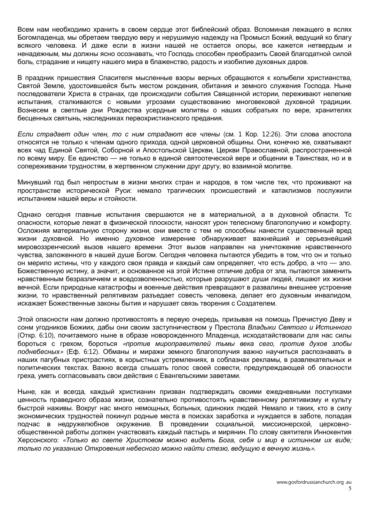Всем нам необходимо хранить в своем сердце этот библейский образ. Вспоминая лежащего в яслях Богомладенца, мы обретаем твердую веру и нерушимую надежду на Промысл Божий, ведущий ко благу всякого человека. И даже если в жизни нашей не остается опоры, все кажется нетвердым и ненадежным, мы должны ясно осознавать, что Господь способен преобразить Своей благодатной силой боль, страдание и нищету нашего мира в блаженство, радость и изобилие духовных даров.

В праздник пришествия Спасителя мысленные взоры верных обращаются к колыбели христианства, Святой Земле, удостоившейся быть местом рождения, обитания и земного служения Господа. Ныне последователи Христа в странах, где происходили события Священной истории, переживают нелегкие испытания, сталкиваются с новыми угрозами существованию многовековой духовной традиции. Вознесем в светлые дни Рождества усердные молитвы о наших собратьях по вере, хранителях бесценных святынь, наследниках первохристианского предания.

Если страдает один член, то с ним страдают все члены (см. 1 Кор. 12:26). Эти слова апостола относятся не только к членам одного прихода, одной церковной общины. Они, конечно же, охватывают всех чад Единой Святой, Соборной и Апостольской Церкви, Церкви Православной, распространенной по всему миру. Ее единство — не только в единой святоотеческой вере и общении в Таинствах, но и в сопереживании трудностям, в жертвенном служении друг другу, во взаимной молитве.

Минувший год был непростым в жизни многих стран и народов, в том числе тех, что проживают на пространстве исторической Руси: немало трагических происшествий и катаклизмов послужили испытанием нашей веры и стойкости.

Однако сегодня главные испытания свершаются не в материальной, а в духовной области. Тс опасности, которые лежат в физической плоскости, наносят урон телесному благополучию и комфорту. Осложняя материальную сторону жизни, они вместе с тем не способны нанести существенный вред жизни духовной. Но именно духовное измерение обнаруживает важнейший и серьезнейший мировоззренческий вызов нашего времени. Этот вызов направлен на уничтожение нравственного чувства, заложенного в нашей душе Богом. Сегодня человека пытаются убедить в том, что он и только он мерило истины, что у каждого своя правда и каждый сам определяет, что есть добро, а что — зло. Божественную истину, а значит, и основанное на этой Истине отличие добра от зла, пытаются заменить нравственным безразличием и вседозволенностью, которые разрушают души людей, лишают их жизни вечной. Если природные катастрофы и военные действия превращают в развалины внешнее устроение жизни, то нравственный релятивизм разъедает совесть человека, делает его духовным инвалидом, искажает Божественные законы бытия и нарушает связь творения с Создателем.

Этой опасности нам должно противостоять в первую очередь, призывая на помощь Пречистую Деву и сонм угодников Божиих, дабы они своим заступничеством у Престола Владыки Святого и Истинного (Откр. 6:10), почитаемого ныне в образе новорожденного Младенца, исходатайствовали для нас силы бороться с грехом, бороться «против мироправителей тьмы века сего, против духов злобы поднебесных» (Еф. 6:12). Обманы и миражи земного благополучия важно научиться распознавать в наших пагубных пристрастиях, в корыстных устремлениях, в соблазнах рекламы, в развлекательных и политических текстах. Важно всегда слышать голос своей совести, предупреждающей об опасности греха, уметь согласовывать свои действия с Евангельскими заветами.

Ныне, как и всегда, каждый христианин призван подтверждать своими ежедневными поступками ценность праведного образа жизни, сознательно противостоять нравственному релятивизму и культу быстрой наживы. Вокруг нас много немощных, больных, одиноких людей. Немало и таких, кто в силу экономических трудностей покинул родные места в поисках заработка и нуждается в заботе, попадая подчас в недружелюбное окружение. В проведении социальной, миссионерской, церковнообщественной работы должен участвовать каждый пастырь и мирянин. По слову святителя Иннокентия Херсонского: «Только во свете Христовом можно видеть Бога, себя и мир в истинном их виде; только по указанию Откровения небесного можно найти стезю, ведущую в вечную жизнь».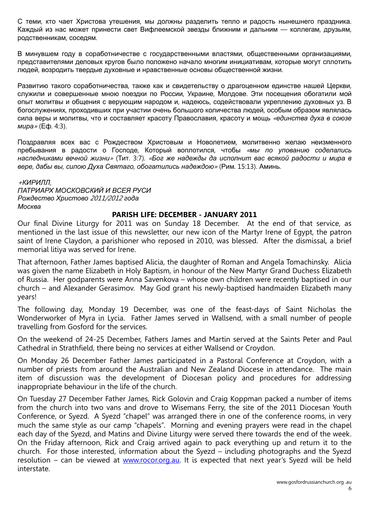С теми, кто чает Христова утешения, мы должны разделить тепло и радость нынешнего праздника. Каждый из нас может принести свет Вифлеемской звезды ближним и дальним — коллегам, друзьям, родственникам, соседям.

В минувшем году в соработничестве с государственными властями, общественными организациями, представителями деловых кругов было положено начало многим инициативам, которые могут сплотить людей, возродить твердые духовные и нравственные основы общественной жизни.

Развитию такого соработничества, также как и свидетельству о драгоценном единстве нашей Церкви, служили и совершенные мною поездки по России, Украине, Молдове. Эти посещения обогатили мой опыт молитвы и общения с верующим народом и, надеюсь, содействовали укреплению духовных уз. В богослужениях, проходивших при участии очень большого количества людей, особым образом являлась сила веры и молитвы, что и составляет красоту Православия, красоту и мощь «единства духа в союзе мира» (Еф. 4:3).

Поздравляя всех вас с Рождеством Христовым и Новолетием, молитвенно желаю неизменного пребывания в радости о Господе, Который воплотился, чтобы «мы по упованию соделались наследниками вечной жизни» (Тит. 3:7). «Бог же надежды да исполнит вас всякой радости и мира в вере, дабы вы, силою Духа Святаго, обогатились надеждою» (Рим. 15:13). Аминь.

<sup>+</sup>КИРИЛЛ, ПАТРИАРХ МОСКОВСКИЙ И ВСЕЯ РУСИ Рождество Христово 2011/2012 года Москва

#### PARISH LIFE: DECEMBER - JANUARY 2011

Our final Divine Liturgy for 2011 was on Sunday 18 December. At the end of that service, as mentioned in the last issue of this newsletter, our new icon of the Martyr Irene of Egypt, the patron saint of Irene Claydon, a parishioner who reposed in 2010, was blessed. After the dismissal, a brief memorial litiya was served for Irene.

That afternoon, Father James baptised Alicia, the daughter of Roman and Angela Tomachinsky. Alicia was given the name Elizabeth in Holy Baptism, in honour of the New Martyr Grand Duchess Elizabeth of Russia. Her godparents were Anna Savenkova – whose own children were recently baptised in our church – and Alexander Gerasimov. May God grant his newly-baptised handmaiden Elizabeth many years!

The following day, Monday 19 December, was one of the feast-days of Saint Nicholas the Wonderworker of Myra in Lycia. Father James served in Wallsend, with a small number of people travelling from Gosford for the services.

On the weekend of 24-25 December, Fathers James and Martin served at the Saints Peter and Paul Cathedral in Strathfield, there being no services at either Wallsend or Croydon.

On Monday 26 December Father James participated in a Pastoral Conference at Croydon, with a number of priests from around the Australian and New Zealand Diocese in attendance. The main item of discussion was the development of Diocesan policy and procedures for addressing inappropriate behaviour in the life of the church.

On Tuesday 27 December Father James, Rick Golovin and Craig Koppman packed a number of items from the church into two vans and drove to Wisemans Ferry, the site of the 2011 Diocesan Youth Conference, or Syezd. A Syezd "chapel" was arranged there in one of the conference rooms, in very much the same style as our camp "chapels". Morning and evening prayers were read in the chapel each day of the Syezd, and Matins and Divine Liturgy were served there towards the end of the week. On the Friday afternoon, Rick and Craig arrived again to pack everything up and return it to the church. For those interested, information about the Syezd – including photographs and the Syezd resolution – can be viewed at www.rocor.org.au. It is expected that next year's Syezd will be held interstate.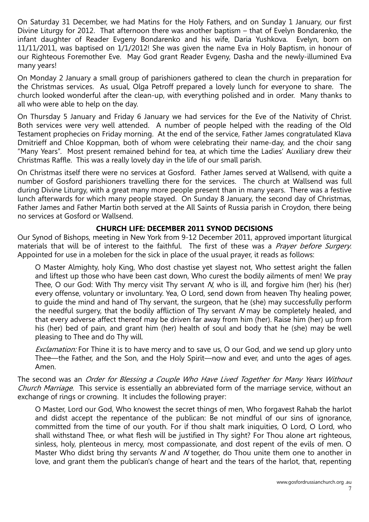On Saturday 31 December, we had Matins for the Holy Fathers, and on Sunday 1 January, our first Divine Liturgy for 2012. That afternoon there was another baptism – that of Evelyn Bondarenko, the infant daughter of Reader Evgeny Bondarenko and his wife, Daria Yushkova. Evelyn, born on 11/11/2011, was baptised on 1/1/2012! She was given the name Eva in Holy Baptism, in honour of our Righteous Foremother Eve. May God grant Reader Evgeny, Dasha and the newly-illumined Eva many years!

On Monday 2 January a small group of parishioners gathered to clean the church in preparation for the Christmas services. As usual, Olga Petroff prepared a lovely lunch for everyone to share. The church looked wonderful after the clean-up, with everything polished and in order. Many thanks to all who were able to help on the day.

On Thursday 5 January and Friday 6 January we had services for the Eve of the Nativity of Christ. Both services were very well attended. A number of people helped with the reading of the Old Testament prophecies on Friday morning. At the end of the service, Father James congratulated Klava Dmitrieff and Chloe Koppman, both of whom were celebrating their name-day, and the choir sang "Many Years". Most present remained behind for tea, at which time the Ladies' Auxiliary drew their Christmas Raffle. This was a really lovely day in the life of our small parish.

On Christmas itself there were no services at Gosford. Father James served at Wallsend, with quite a number of Gosford parishioners travelling there for the services. The church at Wallsend was full during Divine Liturgy, with a great many more people present than in many years. There was a festive lunch afterwards for which many people stayed. On Sunday 8 January, the second day of Christmas, Father James and Father Martin both served at the All Saints of Russia parish in Croydon, there being no services at Gosford or Wallsend.

## CHURCH LIFE: DECEMBER 2011 SYNOD DECISIONS

Our Synod of Bishops, meeting in New York from 9-12 December 2011, approved important liturgical materials that will be of interest to the faithful. The first of these was a *Prayer before Surgery*. Appointed for use in a moleben for the sick in place of the usual prayer, it reads as follows:

O Master Almighty, holy King, Who dost chastise yet slayest not, Who settest aright the fallen and liftest up those who have been cast down, Who curest the bodily ailments of men! We pray Thee, O our God: With Thy mercy visit Thy servant N, who is ill, and forgive him (her) his (her) every offense, voluntary or involuntary. Yea, O Lord, send down from heaven Thy healing power, to guide the mind and hand of Thy servant, the surgeon, that he (she) may successfully perform the needful surgery, that the bodily affliction of Thy servant N may be completely healed, and that every adverse affect thereof may be driven far away from him (her). Raise him (her) up from his (her) bed of pain, and grant him (her) health of soul and body that he (she) may be well pleasing to Thee and do Thy will.

Exclamation: For Thine it is to have mercy and to save us, O our God, and we send up glory unto Thee—the Father, and the Son, and the Holy Spirit—now and ever, and unto the ages of ages. Amen.

The second was an Order for Blessing a Couple Who Have Lived Together for Many Years Without Church Marriage. This service is essentially an abbreviated form of the marriage service, without an exchange of rings or crowning. It includes the following prayer:

O Master, Lord our God, Who knowest the secret things of men, Who forgavest Rahab the harlot and didst accept the repentance of the publican: Be not mindful of our sins of ignorance, committed from the time of our youth. For if thou shalt mark iniquities, O Lord, O Lord, who shall withstand Thee, or what flesh will be justified in Thy sight? For Thou alone art righteous, sinless, holy, plenteous in mercy, most compassionate, and dost repent of the evils of men. O Master Who didst bring thy servants N and N together, do Thou unite them one to another in love, and grant them the publican's change of heart and the tears of the harlot, that, repenting